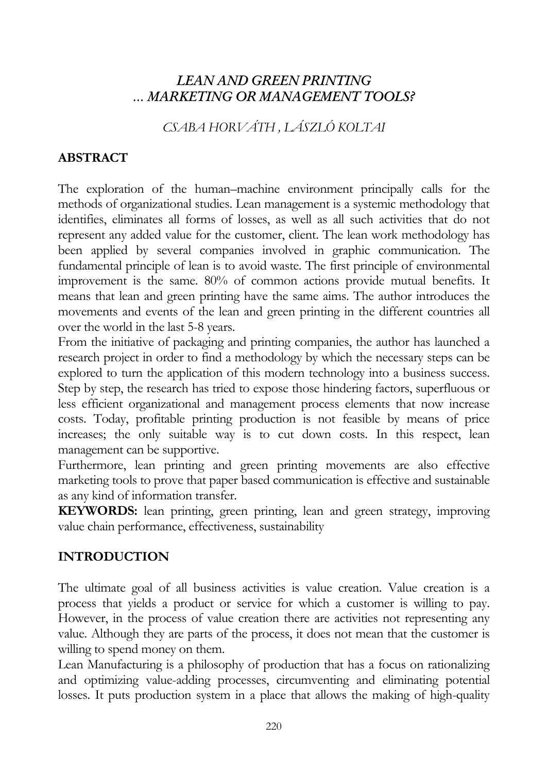## *LEAN AND GREEN PRINTING … MARKETING OR MANAGEMENT TOOLS?*

*CSABA HORVÁTH , LÁSZLÓ KOLTAI* 

## **ABSTRACT**

The exploration of the human–machine environment principally calls for the methods of organizational studies. Lean management is a systemic methodology that identifies, eliminates all forms of losses, as well as all such activities that do not represent any added value for the customer, client. The lean work methodology has been applied by several companies involved in graphic communication. The fundamental principle of lean is to avoid waste. The first principle of environmental improvement is the same. 80% of common actions provide mutual benefits. It means that lean and green printing have the same aims. The author introduces the movements and events of the lean and green printing in the different countries all over the world in the last 5-8 years.

From the initiative of packaging and printing companies, the author has launched a research project in order to find a methodology by which the necessary steps can be explored to turn the application of this modern technology into a business success. Step by step, the research has tried to expose those hindering factors, superfluous or less efficient organizational and management process elements that now increase costs. Today, profitable printing production is not feasible by means of price increases; the only suitable way is to cut down costs. In this respect, lean management can be supportive.

Furthermore, lean printing and green printing movements are also effective marketing tools to prove that paper based communication is effective and sustainable as any kind of information transfer.

**KEYWORDS:** lean printing, green printing, lean and green strategy, improving value chain performance, effectiveness, sustainability

### **INTRODUCTION**

The ultimate goal of all business activities is value creation. Value creation is a process that yields a product or service for which a customer is willing to pay. However, in the process of value creation there are activities not representing any value. Although they are parts of the process, it does not mean that the customer is willing to spend money on them.

Lean Manufacturing is a philosophy of production that has a focus on rationalizing and optimizing value-adding processes, circumventing and eliminating potential losses. It puts production system in a place that allows the making of high-quality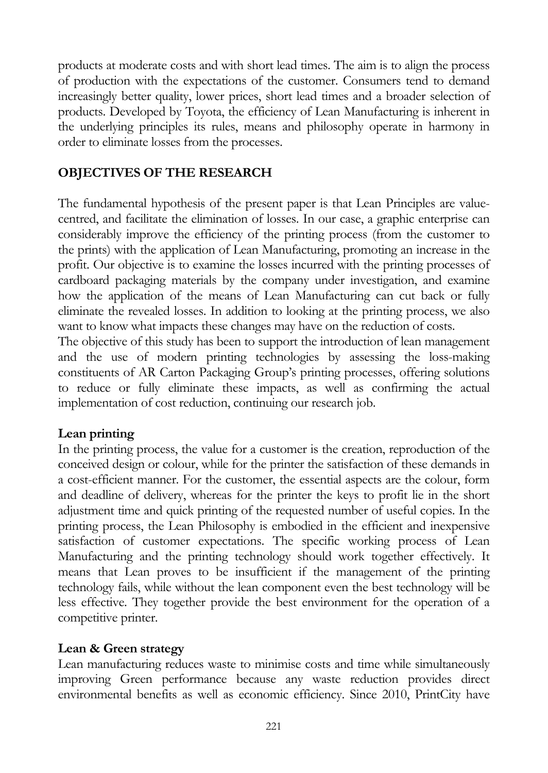products at moderate costs and with short lead times. The aim is to align the process of production with the expectations of the customer. Consumers tend to demand increasingly better quality, lower prices, short lead times and a broader selection of products. Developed by Toyota, the efficiency of Lean Manufacturing is inherent in the underlying principles its rules, means and philosophy operate in harmony in order to eliminate losses from the processes.

### **OBJECTIVES OF THE RESEARCH**

The fundamental hypothesis of the present paper is that Lean Principles are valuecentred, and facilitate the elimination of losses. In our case, a graphic enterprise can considerably improve the efficiency of the printing process (from the customer to the prints) with the application of Lean Manufacturing, promoting an increase in the profit. Our objective is to examine the losses incurred with the printing processes of cardboard packaging materials by the company under investigation, and examine how the application of the means of Lean Manufacturing can cut back or fully eliminate the revealed losses. In addition to looking at the printing process, we also want to know what impacts these changes may have on the reduction of costs.

The objective of this study has been to support the introduction of lean management and the use of modern printing technologies by assessing the loss-making constituents of AR Carton Packaging Group's printing processes, offering solutions to reduce or fully eliminate these impacts, as well as confirming the actual implementation of cost reduction, continuing our research job.

### **Lean printing**

In the printing process, the value for a customer is the creation, reproduction of the conceived design or colour, while for the printer the satisfaction of these demands in a cost-efficient manner. For the customer, the essential aspects are the colour, form and deadline of delivery, whereas for the printer the keys to profit lie in the short adjustment time and quick printing of the requested number of useful copies. In the printing process, the Lean Philosophy is embodied in the efficient and inexpensive satisfaction of customer expectations. The specific working process of Lean Manufacturing and the printing technology should work together effectively. It means that Lean proves to be insufficient if the management of the printing technology fails, while without the lean component even the best technology will be less effective. They together provide the best environment for the operation of a competitive printer.

### **Lean & Green strategy**

Lean manufacturing reduces waste to minimise costs and time while simultaneously improving Green performance because any waste reduction provides direct environmental benefits as well as economic efficiency. Since 2010, PrintCity have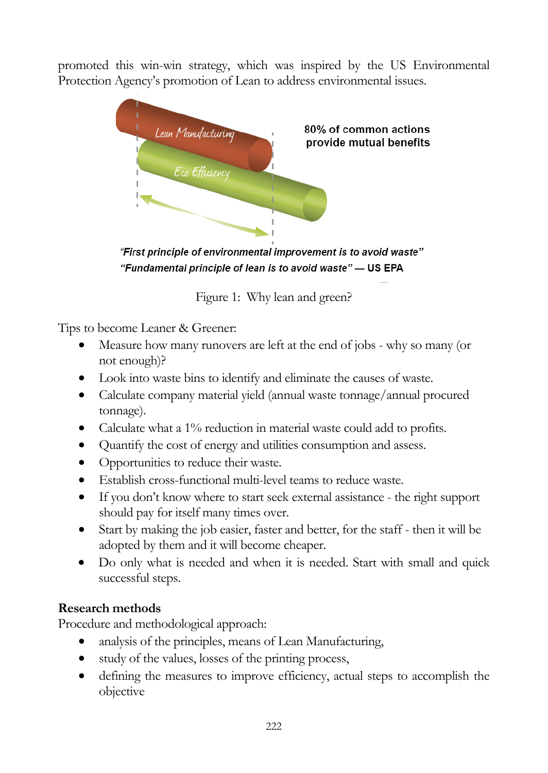promoted this win-win strategy, which was inspired by the US Environmental Protection Agency's promotion of Lean to address environmental issues.



"First principle of environmental improvement is to avoid waste" "Fundamental principle of lean is to avoid waste" - US EPA

Figure 1: Why lean and green?

Tips to become Leaner & Greener:

- Measure how many runovers are left at the end of jobs why so many (or not enough)?
- Look into waste bins to identify and eliminate the causes of waste.
- Calculate company material yield (annual waste tonnage/annual procured tonnage).
- Calculate what a 1% reduction in material waste could add to profits.
- Quantify the cost of energy and utilities consumption and assess.
- Opportunities to reduce their waste.
- Establish cross-functional multi-level teams to reduce waste.
- If you don't know where to start seek external assistance the right support should pay for itself many times over.
- Start by making the job easier, faster and better, for the staff then it will be adopted by them and it will become cheaper.
- Do only what is needed and when it is needed. Start with small and quick successful steps.

## **Research methods**

Procedure and methodological approach:

- analysis of the principles, means of Lean Manufacturing,
- study of the values, losses of the printing process,
- defining the measures to improve efficiency, actual steps to accomplish the objective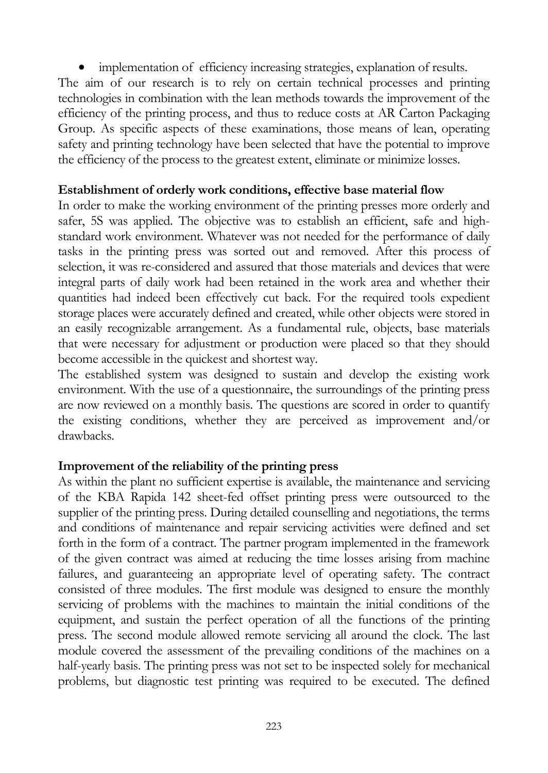implementation of efficiency increasing strategies, explanation of results.

The aim of our research is to rely on certain technical processes and printing technologies in combination with the lean methods towards the improvement of the efficiency of the printing process, and thus to reduce costs at AR Carton Packaging Group. As specific aspects of these examinations, those means of lean, operating safety and printing technology have been selected that have the potential to improve the efficiency of the process to the greatest extent, eliminate or minimize losses.

#### **Establishment of orderly work conditions, effective base material flow**

In order to make the working environment of the printing presses more orderly and safer, 5S was applied. The objective was to establish an efficient, safe and highstandard work environment. Whatever was not needed for the performance of daily tasks in the printing press was sorted out and removed. After this process of selection, it was re-considered and assured that those materials and devices that were integral parts of daily work had been retained in the work area and whether their quantities had indeed been effectively cut back. For the required tools expedient storage places were accurately defined and created, while other objects were stored in an easily recognizable arrangement. As a fundamental rule, objects, base materials that were necessary for adjustment or production were placed so that they should become accessible in the quickest and shortest way.

The established system was designed to sustain and develop the existing work environment. With the use of a questionnaire, the surroundings of the printing press are now reviewed on a monthly basis. The questions are scored in order to quantify the existing conditions, whether they are perceived as improvement and/or drawbacks.

### **Improvement of the reliability of the printing press**

As within the plant no sufficient expertise is available, the maintenance and servicing of the KBA Rapida 142 sheet-fed offset printing press were outsourced to the supplier of the printing press. During detailed counselling and negotiations, the terms and conditions of maintenance and repair servicing activities were defined and set forth in the form of a contract. The partner program implemented in the framework of the given contract was aimed at reducing the time losses arising from machine failures, and guaranteeing an appropriate level of operating safety. The contract consisted of three modules. The first module was designed to ensure the monthly servicing of problems with the machines to maintain the initial conditions of the equipment, and sustain the perfect operation of all the functions of the printing press. The second module allowed remote servicing all around the clock. The last module covered the assessment of the prevailing conditions of the machines on a half-yearly basis. The printing press was not set to be inspected solely for mechanical problems, but diagnostic test printing was required to be executed. The defined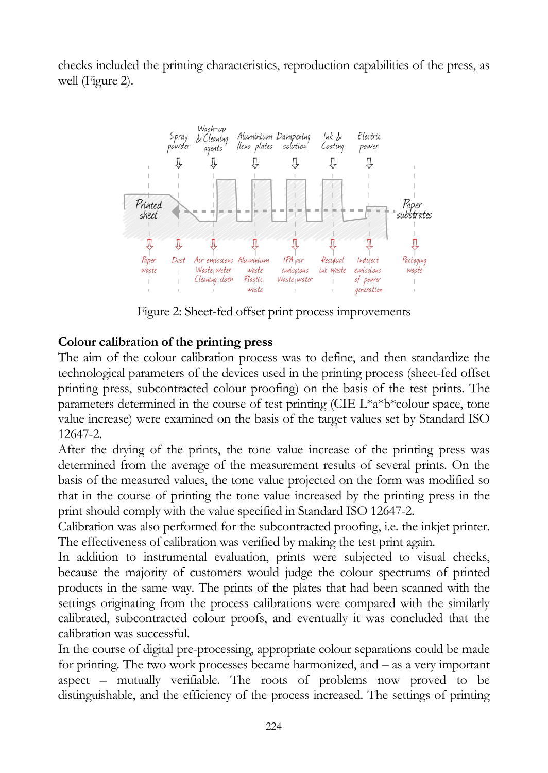checks included the printing characteristics, reproduction capabilities of the press, as well (Figure 2).



Figure 2: Sheet-fed offset print process improvements

## **Colour calibration of the printing press**

The aim of the colour calibration process was to define, and then standardize the technological parameters of the devices used in the printing process (sheet-fed offset printing press, subcontracted colour proofing) on the basis of the test prints. The parameters determined in the course of test printing (CIE L\*a\*b\*colour space, tone value increase) were examined on the basis of the target values set by Standard ISO 12647-2.

After the drying of the prints, the tone value increase of the printing press was determined from the average of the measurement results of several prints*.* On the basis of the measured values, the tone value projected on the form was modified so that in the course of printing the tone value increased by the printing press in the print should comply with the value specified in Standard ISO 12647-2.

Calibration was also performed for the subcontracted proofing, i.e. the inkjet printer. The effectiveness of calibration was verified by making the test print again.

In addition to instrumental evaluation, prints were subjected to visual checks, because the majority of customers would judge the colour spectrums of printed products in the same way. The prints of the plates that had been scanned with the settings originating from the process calibrations were compared with the similarly calibrated, subcontracted colour proofs, and eventually it was concluded that the calibration was successful.

In the course of digital pre-processing, appropriate colour separations could be made for printing. The two work processes became harmonized, and – as a very important aspect – mutually verifiable. The roots of problems now proved to be distinguishable, and the efficiency of the process increased. The settings of printing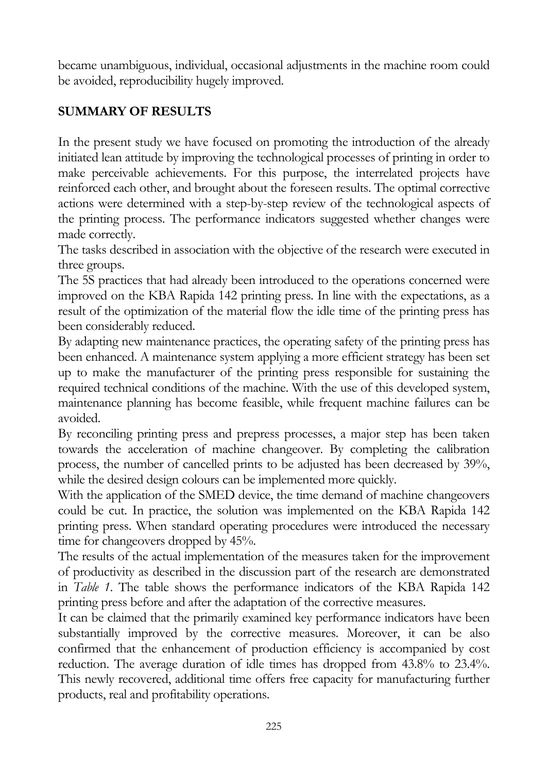became unambiguous, individual, occasional adjustments in the machine room could be avoided, reproducibility hugely improved.

## **SUMMARY OF RESULTS**

In the present study we have focused on promoting the introduction of the already initiated lean attitude by improving the technological processes of printing in order to make perceivable achievements. For this purpose, the interrelated projects have reinforced each other, and brought about the foreseen results. The optimal corrective actions were determined with a step-by-step review of the technological aspects of the printing process. The performance indicators suggested whether changes were made correctly.

The tasks described in association with the objective of the research were executed in three groups.

The 5S practices that had already been introduced to the operations concerned were improved on the KBA Rapida 142 printing press. In line with the expectations, as a result of the optimization of the material flow the idle time of the printing press has been considerably reduced.

By adapting new maintenance practices, the operating safety of the printing press has been enhanced. A maintenance system applying a more efficient strategy has been set up to make the manufacturer of the printing press responsible for sustaining the required technical conditions of the machine. With the use of this developed system, maintenance planning has become feasible, while frequent machine failures can be avoided.

By reconciling printing press and prepress processes, a major step has been taken towards the acceleration of machine changeover. By completing the calibration process, the number of cancelled prints to be adjusted has been decreased by 39%, while the desired design colours can be implemented more quickly.

With the application of the SMED device, the time demand of machine changeovers could be cut. In practice, the solution was implemented on the KBA Rapida 142 printing press. When standard operating procedures were introduced the necessary time for changeovers dropped by 45%.

The results of the actual implementation of the measures taken for the improvement of productivity as described in the discussion part of the research are demonstrated in *Table 1*. The table shows the performance indicators of the KBA Rapida 142 printing press before and after the adaptation of the corrective measures.

It can be claimed that the primarily examined key performance indicators have been substantially improved by the corrective measures. Moreover, it can be also confirmed that the enhancement of production efficiency is accompanied by cost reduction. The average duration of idle times has dropped from 43.8% to 23.4%. This newly recovered, additional time offers free capacity for manufacturing further products, real and profitability operations.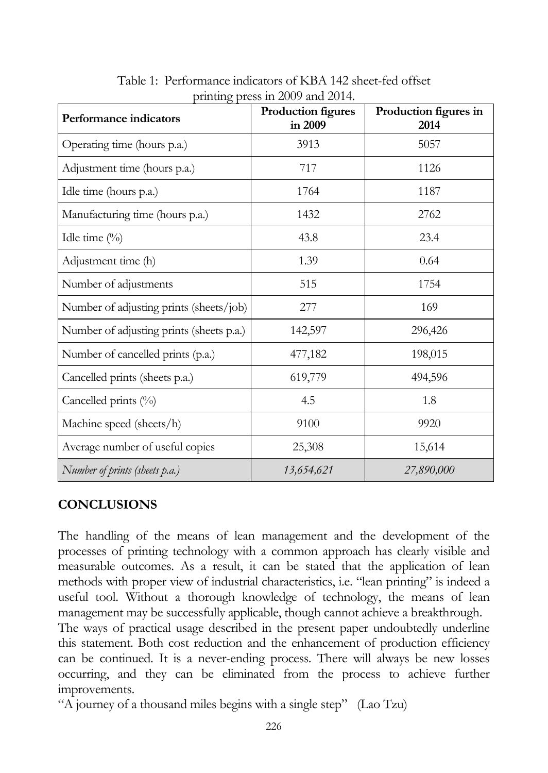| Performance indicators                   | Production figures<br>in 2009 | Production figures in<br>2014 |
|------------------------------------------|-------------------------------|-------------------------------|
| Operating time (hours p.a.)              | 3913                          | 5057                          |
| Adjustment time (hours p.a.)             | 717                           | 1126                          |
| Idle time (hours p.a.)                   | 1764                          | 1187                          |
| Manufacturing time (hours p.a.)          | 1432                          | 2762                          |
| Idle time $(\%)$                         | 43.8                          | 23.4                          |
| Adjustment time (h)                      | 1.39                          | 0.64                          |
| Number of adjustments                    | 515                           | 1754                          |
| Number of adjusting prints (sheets/job)  | 277                           | 169                           |
| Number of adjusting prints (sheets p.a.) | 142,597                       | 296,426                       |
| Number of cancelled prints (p.a.)        | 477,182                       | 198,015                       |
| Cancelled prints (sheets p.a.)           | 619,779                       | 494,596                       |
| Cancelled prints (%)                     | 4.5                           | 1.8                           |
| Machine speed (sheets/h)                 | 9100                          | 9920                          |
| Average number of useful copies          | 25,308                        | 15,614                        |
| Number of prints (sheets p.a.)           | 13,654,621                    | 27,890,000                    |

Table 1: Performance indicators of KBA 142 sheet-fed offset printing press in 2009 and 2014.

# **CONCLUSIONS**

The handling of the means of lean management and the development of the processes of printing technology with a common approach has clearly visible and measurable outcomes. As a result, it can be stated that the application of lean methods with proper view of industrial characteristics, i.e. "lean printing" is indeed a useful tool. Without a thorough knowledge of technology, the means of lean management may be successfully applicable, though cannot achieve a breakthrough.

The ways of practical usage described in the present paper undoubtedly underline this statement. Both cost reduction and the enhancement of production efficiency can be continued. It is a never-ending process. There will always be new losses occurring, and they can be eliminated from the process to achieve further improvements.

"A journey of a thousand miles begins with a single step" (Lao Tzu)